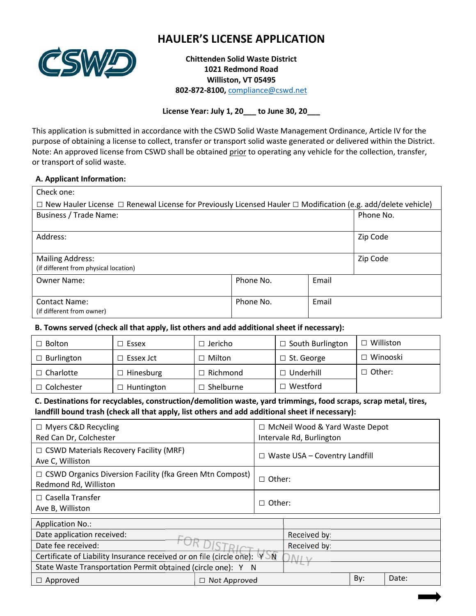

# **HAULER'S LICENSE APPLICATION**

**Chittenden Solid Waste District 1021 Redmond Road Williston, VT 05495 802-872-8100,** compliance@cswd.net

**License Year: July 1, 20\_\_\_ to June 30, 20\_\_\_**

This application is submitted in accordance with the CSWD Solid Waste Management Ordinance, Article IV for the purpose of obtaining a license to collect, transfer or transport solid waste generated or delivered within the District. Note: An approved license from CSWD shall be obtained prior to operating any vehicle for the collection, transfer, or transport of solid waste.

#### **A. Applicant Information:**

| Check one:                                                                                                                    |           |           |  |  |  |  |  |
|-------------------------------------------------------------------------------------------------------------------------------|-----------|-----------|--|--|--|--|--|
| $\Box$ New Hauler License $\Box$ Renewal License for Previously Licensed Hauler $\Box$ Modification (e.g. add/delete vehicle) |           |           |  |  |  |  |  |
| Business / Trade Name:                                                                                                        |           | Phone No. |  |  |  |  |  |
|                                                                                                                               |           |           |  |  |  |  |  |
| Address:                                                                                                                      |           | Zip Code  |  |  |  |  |  |
|                                                                                                                               |           |           |  |  |  |  |  |
| <b>Mailing Address:</b>                                                                                                       |           | Zip Code  |  |  |  |  |  |
| (if different from physical location)                                                                                         |           |           |  |  |  |  |  |
| Owner Name:                                                                                                                   | Phone No. | Email     |  |  |  |  |  |
|                                                                                                                               |           |           |  |  |  |  |  |
| <b>Contact Name:</b>                                                                                                          | Phone No. | Email     |  |  |  |  |  |
| (if different from owner)                                                                                                     |           |           |  |  |  |  |  |

**B. Towns served (check all that apply, list others and add additional sheet if necessary):** 

| $\Box$ Bolton     | $\Box$ Essex      | $\Box$ Jericho        | $\Box$ South Burlington | $\Box$ Williston |
|-------------------|-------------------|-----------------------|-------------------------|------------------|
| $\Box$ Burlington | $\Box$ Essex Jct  | $\Box$ Milton         | $\Box$ St. George       | $\Box$ Winooski  |
| $\Box$ Charlotte  | $\Box$ Hinesburg  | $\Box$ Richmond       | $\Box$ Underhill        | $\Box$ Other:    |
| $\Box$ Colchester | $\Box$ Huntington | $\sqsupset$ Shelburne | $\sqsupset$ Westford    |                  |

## **C. Destinations for recyclables, construction/demolition waste, yard trimmings, food scraps, scrap metal, tires, landfill bound trash (check all that apply, list others and add additional sheet if necessary):**

| $\Box$ Myers C&D Recycling<br>Red Can Dr, Colchester                                     |                                      | $\Box$ McNeil Wood & Yard Waste Depot<br>Intervale Rd, Burlington |  |
|------------------------------------------------------------------------------------------|--------------------------------------|-------------------------------------------------------------------|--|
| $\Box$ CSWD Materials Recovery Facility (MRF)<br>Ave C, Williston                        | $\Box$ Waste USA – Coventry Landfill |                                                                   |  |
| $\Box$ CSWD Organics Diversion Facility (fka Green Mtn Compost)<br>Redmond Rd, Williston | ∣ Other:                             |                                                                   |  |
| $\Box$ Casella Transfer<br>Ave B, Williston                                              | $\Box$ Other:                        |                                                                   |  |
| <b>Application No.:</b>                                                                  |                                      |                                                                   |  |
| Date application received:                                                               |                                      | Received by:                                                      |  |
| Date fee received:                                                                       |                                      | Received by:                                                      |  |
| Certificate of Liability Insurance received or on file (circle one): YON                 |                                      | NII                                                               |  |

| State Waste Transportation Permit obtained (circle one): Y |  |
|------------------------------------------------------------|--|
|                                                            |  |

| $\Box$ Approved | Not Approved | Bv: | Date: |
|-----------------|--------------|-----|-------|
|                 |              |     |       |